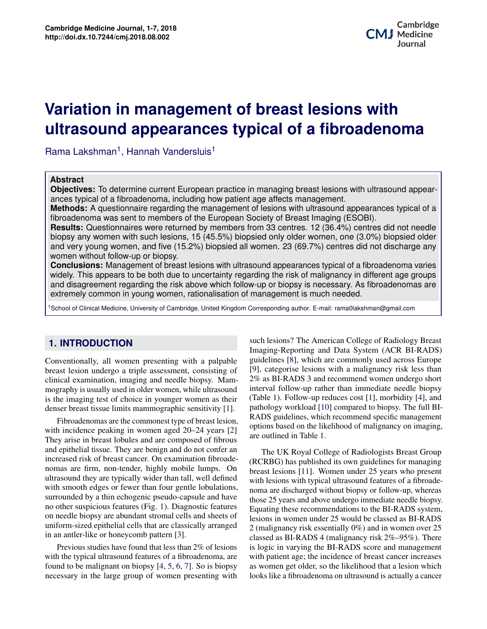# **Potential Applications of Three-dimensional Bioprinting in Regenerative Medicine ultrasound appearances typical of a fibroadenoma Variation in management of breast lesions with**

Rama Lakshman<sup>1</sup>, Hannah Vandersluis<sup>1</sup>

#### **Abstract**

**Objectives:** To determine current European practice in managing breast lesions with ultrasound appearances typical of a fibroadenoma, including how patient age affects management.

**Methods:** A questionnaire regarding the management of lesions with ultrasound appearances typical of a fibroadenoma was sent to members of the European Society of Breast Imaging (ESOBI).

**Results:** Questionnaires were returned by members from 33 centres. 12 (36.4%) centres did not needle biopsy any women with such lesions, 15 (45.5%) biopsied only older women, one (3.0%) biopsied older and very young women, and five (15.2%) biopsied all women. 23 (69.7%) centres did not discharge any women without follow-up or biopsy.

 $\left\langle \text{proadenoma varies}\right\rangle$ are **Conclusions:** Management of breast lesions with ultrasound appearances typical of a fibroadenoma varies widely. This appears to be both due to uncertainty regarding the risk of malignancy in different age groups and disagreement regarding the risk above which follow-up or biopsy is necessary. As fibroadenomas are extremely common in young women, rationalisation of management is much needed.

1School of Clinical Medicine, University of Cambridge, United Kingdom Corresponding author. E-mail: rama0lakshman@gmail.com

# **1. INTRODUCTION**

Conventionally, all women presenting with a palpable breast lesion undergo a triple assessment, consisting of clinical examination, imaging and needle biopsy. Mammography is usually used in older women, while ultrasound is the imaging test of choice in younger women as their denser breast tissue limits mammographic sensitivity [\[1\]](#page-5-0).

**Contents** ultrasound they are typically wider than tall, well defined surrounded by a thin echogenic pseudo-capsule and have no other suspicious features (Fig. [1\)](#page-1-0). Diagnostic features **3 Principles of Application/Methods of Bioprinting 2** uniform-sized epithelial cells that are classically arranged in an antler-like or honeycomb pattern [\[3\]](#page-5-2). Fibroadenomas are the commonest type of breast lesion, with incidence peaking in women aged 20–24 years [\[2\]](#page-5-1) They arise in breast lobules and are composed of fibrous and epithelial tissue. They are benign and do not confer an increased risk of breast cancer. On examination fibroadenomas are firm, non-tender, highly mobile lumps. On with smooth edges or fewer than four gentle lobulations, on needle biopsy are abundant stromal cells and sheets of

with the typical ultrasound features of a fibroadenoma, are found to be malignant on biopsy  $[4, 5, 6, 7]$  $[4, 5, 6, 7]$  $[4, 5, 6, 7]$  $[4, 5, 6, 7]$  $[4, 5, 6, 7]$  $[4, 5, 6, 7]$  $[4, 5, 6, 7]$ . So is biopsy necessary in the large group of women presenting with Previous studies have found that less than 2% of lesions

**RADS** guidelines, which recommend specific management<br>options based on the likelihood of malignancy on imaging, such lesions? The American College of Radiology Breast Imaging-Reporting and Data System (ACR BI-RADS) guidelines [\[8\]](#page-6-0), which are commonly used across Europe [\[9\]](#page-6-1), categorise lesions with a malignancy risk less than 2% as BI-RADS 3 and recommend women undergo short interval follow-up rather than immediate needle biopsy (Table [1\)](#page-1-1). Follow-up reduces cost [\[1\]](#page-5-0), morbidity [\[4\]](#page-5-3), and pathology workload [\[10\]](#page-6-2) compared to biopsy. The full BI-RADS guidelines, which recommend specific management are outlined in Table [1.](#page-1-1)

The UK Royal College of Radiologists Breast Group <sup>The C</sup>ulture of The Culture of Organizations Corporations of Organizations [\[11\]](#page-6-3). Women under 25 years who present with lesions with typical ultrasound features of a fibroadethose those as in the discrimate which the final chapter of the final chapter of the final chapter of the final chapter of the final chapter of the book mentions and above undergo immediate needle biopsy. atures Equating these recommendations to the BI-RADS system,<br>eets of healing in women would also also also also BI-RADS anged  $\alpha$  (malignancy risk essentially 0%) and in women over 25 gnancy risk  $2\%$ –95%). There<br>ADS score-and management with patient age; the incidence of breast cancer increases loopsy as women get older, so the fixempood that a fesion which<br>g with looks like a fibroadenoma on ultrasound is actually a cancer which resions which y pical did assumed cattles of a horoadily<br>attions, noma are discharged without biopsy or follow-up, whereas ets of lesions in women under 25 would be classed as BI-RADS classed as BI-RADS 4 (malignancy risk  $2\% - 95\%$ ). There esions is logic in varying the BI-RADS score and management the wide wide part age, the interface of order to determine the disconsistent and the subset of the likelihood that a lesion which medicine, bioprinting is beginning to play a role in regener-(RCRBG) has published its own guidelines for managing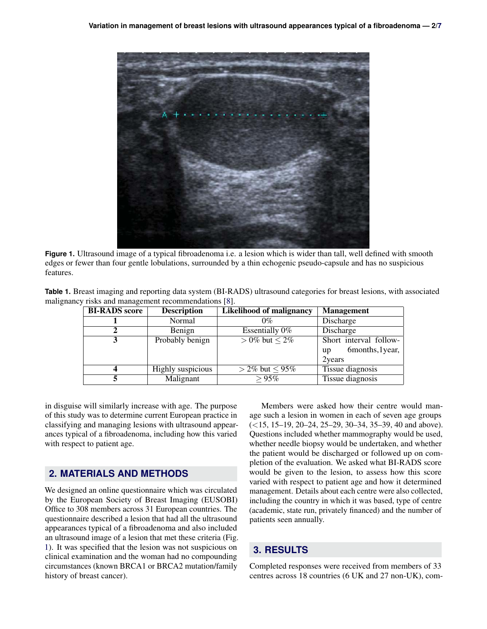<span id="page-1-0"></span>

Figure 1. Ultrasound image of a typical fibroadenoma i.e. a lesion which is wider than tall, well defined with smooth edges or fewer than four gentle lobulations, surrounded by a thin echogenic pseudo-capsule and has no suspicious features.

<span id="page-1-1"></span>

| Table 1. Breast imaging and reporting data system (BI-RADS) ultrasound categories for breast lesions, with associated |  |
|-----------------------------------------------------------------------------------------------------------------------|--|
| malignancy risks and management recommendations [8].                                                                  |  |

| <b>BI-RADS</b> score | <b>Description</b>       | <b>Likelihood of malignancy</b> | <b>Management</b>            |
|----------------------|--------------------------|---------------------------------|------------------------------|
|                      | Normal                   | $0\%$                           | Discharge                    |
|                      | Benign                   | Essentially 0%                  | Discharge                    |
|                      | Probably benign          | $> 0\%$ but $< 2\%$             | Short interval follow-       |
|                      |                          |                                 | 6months, 1year,<br><b>up</b> |
|                      |                          |                                 | 2years                       |
|                      | <b>Highly</b> suspicious | $>$ 2% but $\leq$ 95%           | Tissue diagnosis             |
|                      | Malignant                | >95%                            | Tissue diagnosis             |

in disguise will similarly increase with age. The purpose of this study was to determine current European practice in classifying and managing lesions with ultrasound appearances typical of a fibroadenoma, including how this varied with respect to patient age.

# **2. MATERIALS AND METHODS**

We designed an online questionnaire which was circulated by the European Society of Breast Imaging (EUSOBI) Office to 308 members across 31 European countries. The questionnaire described a lesion that had all the ultrasound appearances typical of a fibroadenoma and also included an ultrasound image of a lesion that met these criteria (Fig. [1\)](#page-1-0). It was specified that the lesion was not suspicious on clinical examination and the woman had no compounding circumstances (known BRCA1 or BRCA2 mutation/family history of breast cancer).

Members were asked how their centre would manage such a lesion in women in each of seven age groups (*<*15, 15–19, 20–24, 25–29, 30–34, 35–39, 40 and above). Questions included whether mammography would be used, whether needle biopsy would be undertaken, and whether the patient would be discharged or followed up on completion of the evaluation. We asked what BI-RADS score would be given to the lesion, to assess how this score varied with respect to patient age and how it determined management. Details about each centre were also collected, including the country in which it was based, type of centre (academic, state run, privately financed) and the number of patients seen annually.

# **3. RESULTS**

Completed responses were received from members of 33 centres across 18 countries (6 UK and 27 non-UK), com-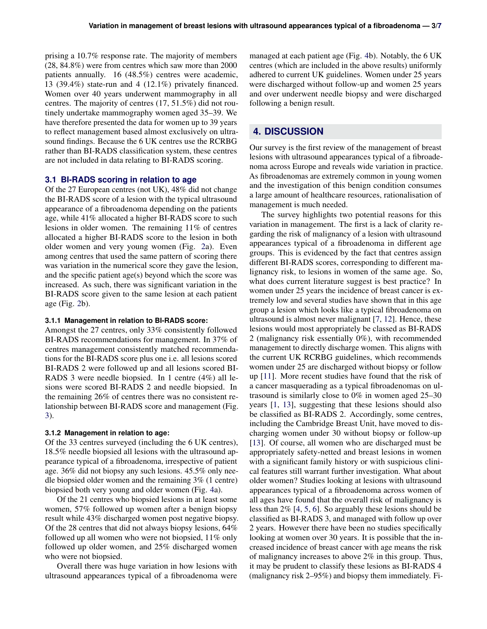prising a 10.7% response rate. The majority of members (28, 84.8%) were from centres which saw more than 2000 patients annually. 16 (48.5%) centres were academic, 13 (39.4%) state-run and 4 (12.1%) privately financed. Women over 40 years underwent mammography in all centres. The majority of centres (17, 51.5%) did not routinely undertake mammography women aged 35–39. We have therefore presented the data for women up to 39 years to reflect management based almost exclusively on ultrasound findings. Because the 6 UK centres use the RCRBG rather than BI-RADS classification system, these centres are not included in data relating to BI-RADS scoring.

#### **3.1 BI-RADS scoring in relation to age**

Of the 27 European centres (not UK), 48% did not change the BI-RADS score of a lesion with the typical ultrasound appearance of a fibroadenoma depending on the patients age, while 41% allocated a higher BI-RADS score to such lesions in older women. The remaining 11% of centres allocated a higher BI-RADS score to the lesion in both older women and very young women (Fig. [2a](#page-3-0)). Even among centres that used the same pattern of scoring there was variation in the numerical score they gave the lesion, and the specific patient age(s) beyond which the score was increased. As such, there was significant variation in the BI-RADS score given to the same lesion at each patient age (Fig. [2b](#page-3-0)).

#### **3.1.1 Management in relation to BI-RADS score:**

Amongst the 27 centres, only 33% consistently followed BI-RADS recommendations for management. In 37% of centres management consistently matched recommendations for the BI-RADS score plus one i.e. all lesions scored BI-RADS 2 were followed up and all lesions scored BI-RADS 3 were needle biopsied. In 1 centre (4%) all lesions were scored BI-RADS 2 and needle biopsied. In the remaining 26% of centres there was no consistent relationship between BI-RADS score and management (Fig. [3\)](#page-4-0).

#### **3.1.2 Management in relation to age:**

Of the 33 centres surveyed (including the 6 UK centres), 18.5% needle biopsied all lesions with the ultrasound appearance typical of a fibroadenoma, irrespective of patient age. 36% did not biopsy any such lesions. 45.5% only needle biopsied older women and the remaining 3% (1 centre) biopsied both very young and older women (Fig. [4a](#page-4-1)).

Of the 21 centres who biopsied lesions in at least some women, 57% followed up women after a benign biopsy result while 43% discharged women post negative biopsy. Of the 28 centres that did not always biopsy lesions, 64% followed up all women who were not biopsied, 11% only followed up older women, and 25% discharged women who were not biopsied.

Overall there was huge variation in how lesions with ultrasound appearances typical of a fibroadenoma were

managed at each patient age (Fig. [4b](#page-4-1)). Notably, the 6 UK centres (which are included in the above results) uniformly adhered to current UK guidelines. Women under 25 years were discharged without follow-up and women 25 years and over underwent needle biopsy and were discharged following a benign result.

### **4. DISCUSSION**

Our survey is the first review of the management of breast lesions with ultrasound appearances typical of a fibroadenoma across Europe and reveals wide variation in practice. As fibroadenomas are extremely common in young women and the investigation of this benign condition consumes a large amount of healthcare resources, rationalisation of management is much needed.

The survey highlights two potential reasons for this variation in management. The first is a lack of clarity regarding the risk of malignancy of a lesion with ultrasound appearances typical of a fibroadenoma in different age groups. This is evidenced by the fact that centres assign different BI-RADS scores, corresponding to different malignancy risk, to lesions in women of the same age. So, what does current literature suggest is best practice? In women under 25 years the incidence of breast cancer is extremely low and several studies have shown that in this age group a lesion which looks like a typical fibroadenoma on ultrasound is almost never malignant [\[7,](#page-5-6) [12\]](#page-6-5). Hence, these lesions would most appropriately be classed as BI-RADS 2 (malignancy risk essentially 0%), with recommended management to directly discharge women. This aligns with the current UK RCRBG guidelines, which recommends women under 25 are discharged without biopsy or follow up [\[11\]](#page-6-3). More recent studies have found that the risk of a cancer masquerading as a typical fibroadenomas on ultrasound is similarly close to 0% in women aged 25–30 years [\[1,](#page-5-0) [13\]](#page-6-6), suggesting that these lesions should also be classified as BI-RADS 2. Accordingly, some centres, including the Cambridge Breast Unit, have moved to discharging women under 30 without biopsy or follow-up [\[13\]](#page-6-6). Of course, all women who are discharged must be appropriately safety-netted and breast lesions in women with a significant family history or with suspicious clinical features still warrant further investigation. What about older women? Studies looking at lesions with ultrasound appearances typical of a fibroadenoma across women of all ages have found that the overall risk of malignancy is less than 2% [\[4,](#page-5-3) [5,](#page-5-4) [6\]](#page-5-5). So arguably these lesions should be classified as BI-RADS 3, and managed with follow up over 2 years. However there have been no studies specifically looking at women over 30 years. It is possible that the increased incidence of breast cancer with age means the risk of malignancy increases to above 2% in this group. Thus, it may be prudent to classify these lesions as BI-RADS 4 (malignancy risk 2–95%) and biopsy them immediately. Fi-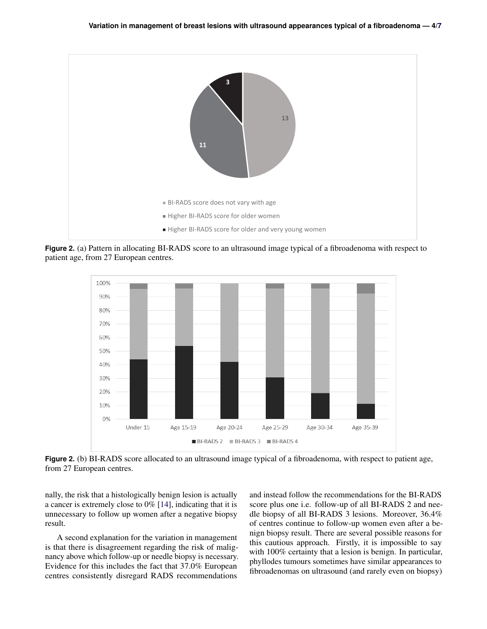<span id="page-3-0"></span>

**Figure 2.** (a) Pattern in allocating BI-RADS score to an ultrasound image typical of a fibroadenoma with respect to patient age, from 27 European centres.



**Figure 2.** (b) BI-RADS score allocated to an ultrasound image typical of a fibroadenoma, with respect to patient age, from 27 European centres.

nally, the risk that a histologically benign lesion is actually a cancer is extremely close to 0% [\[14\]](#page-6-7), indicating that it is unnecessary to follow up women after a negative biopsy result.

A second explanation for the variation in management is that there is disagreement regarding the risk of malignancy above which follow-up or needle biopsy is necessary. Evidence for this includes the fact that 37.0% European centres consistently disregard RADS recommendations

and instead follow the recommendations for the BI-RADS score plus one i.e. follow-up of all BI-RADS 2 and needle biopsy of all BI-RADS 3 lesions. Moreover, 36.4% of centres continue to follow-up women even after a benign biopsy result. There are several possible reasons for this cautious approach. Firstly, it is impossible to say with 100% certainty that a lesion is benign. In particular, phyllodes tumours sometimes have similar appearances to fibroadenomas on ultrasound (and rarely even on biopsy)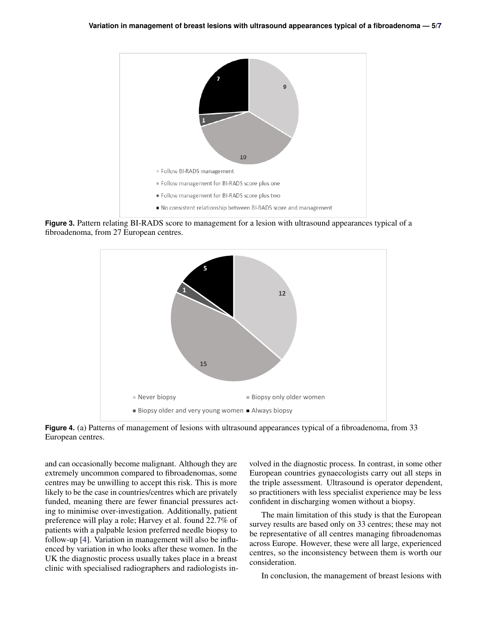<span id="page-4-0"></span>

<span id="page-4-1"></span>**Figure 3.** Pattern relating BI-RADS score to management for a lesion with ultrasound appearances typical of a fibroadenoma, from 27 European centres.



**Figure 4.** (a) Patterns of management of lesions with ultrasound appearances typical of a fibroadenoma, from 33 European centres.

and can occasionally become malignant. Although they are extremely uncommon compared to fibroadenomas, some centres may be unwilling to accept this risk. This is more likely to be the case in countries/centres which are privately funded, meaning there are fewer financial pressures acting to minimise over-investigation. Additionally, patient preference will play a role; Harvey et al. found 22.7% of patients with a palpable lesion preferred needle biopsy to follow-up [\[4\]](#page-5-3). Variation in management will also be influenced by variation in who looks after these women. In the UK the diagnostic process usually takes place in a breast clinic with specialised radiographers and radiologists involved in the diagnostic process. In contrast, in some other European countries gynaecologists carry out all steps in the triple assessment. Ultrasound is operator dependent, so practitioners with less specialist experience may be less confident in discharging women without a biopsy.

The main limitation of this study is that the European survey results are based only on 33 centres; these may not be representative of all centres managing fibroadenomas across Europe. However, these were all large, experienced centres, so the inconsistency between them is worth our consideration.

In conclusion, the management of breast lesions with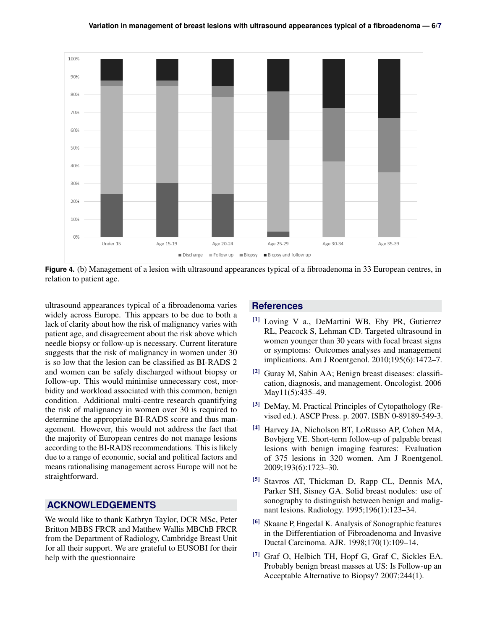



ultrasound appearances typical of a fibroadenoma varies widely across Europe. This appears to be due to both a lack of clarity about how the risk of malignancy varies with patient age, and disagreement about the risk above which needle biopsy or follow-up is necessary. Current literature suggests that the risk of malignancy in women under 30 is so low that the lesion can be classified as BI-RADS 2 and women can be safely discharged without biopsy or follow-up. This would minimise unnecessary cost, morbidity and workload associated with this common, benign condition. Additional multi-centre research quantifying the risk of malignancy in women over 30 is required to determine the appropriate BI-RADS score and thus management. However, this would not address the fact that the majority of European centres do not manage lesions according to the BI-RADS recommendations. This is likely due to a range of economic, social and political factors and means rationalising management across Europe will not be straightforward.

# **ACKNOWLEDGEMENTS**

We would like to thank Kathryn Taylor, DCR MSc, Peter Britton MBBS FRCR and Matthew Wallis MBChB FRCR from the Department of Radiology, Cambridge Breast Unit for all their support. We are grateful to EUSOBI for their help with the questionnaire

# **References**

- <span id="page-5-0"></span>[1] Loving V a., DeMartini WB, Eby PR, Gutierrez RL, Peacock S, Lehman CD. Targeted ultrasound in women younger than 30 years with focal breast signs or symptoms: Outcomes analyses and management implications. Am J Roentgenol. 2010;195(6):1472–7.
- <span id="page-5-1"></span> $[2]$  Guray M, Sahin AA; Benign breast diseases: classification, diagnosis, and management. Oncologist. 2006 May11(5):435–49.
- <span id="page-5-2"></span>[3] DeMay, M. Practical Principles of Cytopathology (Revised ed.). ASCP Press. p. 2007. ISBN 0-89189-549-3.
- <span id="page-5-3"></span>[4] Harvey JA, Nicholson BT, LoRusso AP, Cohen MA, Bovbjerg VE. Short-term follow-up of palpable breast lesions with benign imaging features: Evaluation of 375 lesions in 320 women. Am J Roentgenol. 2009;193(6):1723–30.
- <span id="page-5-4"></span>[5] Stavros AT, Thickman D, Rapp CL, Dennis MA, Parker SH, Sisney GA. Solid breast nodules: use of sonography to distinguish between benign and malignant lesions. Radiology. 1995;196(1):123–34.
- <span id="page-5-5"></span>[6] Skaane P, Engedal K. Analysis of Sonographic features in the Differentiation of Fibroadenoma and Invasive Ductal Carcinoma. AJR. 1998;170(1):109–14.
- <span id="page-5-6"></span>[7] Graf O, Helbich TH, Hopf G, Graf C, Sickles EA. Probably benign breast masses at US: Is Follow-up an Acceptable Alternative to Biopsy? 2007;244(1).